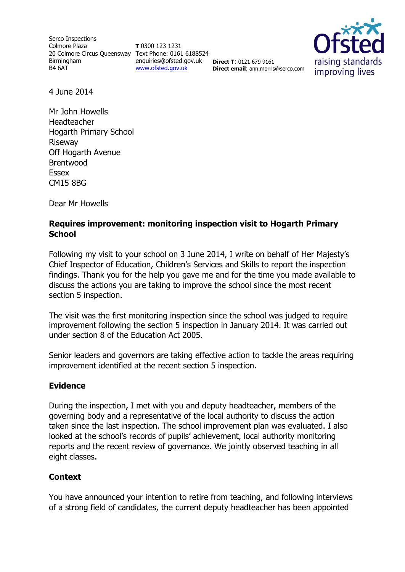Serco Inspections Colmore Plaza 20 Colmore Circus Queensway Text Phone: 0161 6188524 Birmingham B4 6AT

**T** 0300 123 1231 enquiries@ofsted.gov.uk [www.ofsted.gov.uk](http://www.ofsted.gov.uk/)

**Direct T**: 0121 679 9161

**Direct email**: ann.morris@serco.com

raising standards improving lives

4 June 2014

Mr John Howells Headteacher Hogarth Primary School Riseway Off Hogarth Avenue Brentwood Essex CM15 8BG

Dear Mr Howells

# **Requires improvement: monitoring inspection visit to Hogarth Primary School**

Following my visit to your school on 3 June 2014, I write on behalf of Her Majesty's Chief Inspector of Education, Children's Services and Skills to report the inspection findings. Thank you for the help you gave me and for the time you made available to discuss the actions you are taking to improve the school since the most recent section 5 inspection.

The visit was the first monitoring inspection since the school was judged to require improvement following the section 5 inspection in January 2014. It was carried out under section 8 of the Education Act 2005.

Senior leaders and governors are taking effective action to tackle the areas requiring improvement identified at the recent section 5 inspection.

### **Evidence**

During the inspection, I met with you and deputy headteacher, members of the governing body and a representative of the local authority to discuss the action taken since the last inspection. The school improvement plan was evaluated. I also looked at the school's records of pupils' achievement, local authority monitoring reports and the recent review of governance. We jointly observed teaching in all eight classes.

### **Context**

You have announced your intention to retire from teaching, and following interviews of a strong field of candidates, the current deputy headteacher has been appointed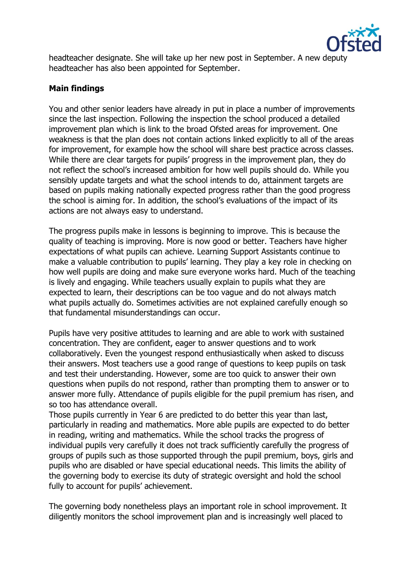

headteacher designate. She will take up her new post in September. A new deputy headteacher has also been appointed for September.

### **Main findings**

You and other senior leaders have already in put in place a number of improvements since the last inspection. Following the inspection the school produced a detailed improvement plan which is link to the broad Ofsted areas for improvement. One weakness is that the plan does not contain actions linked explicitly to all of the areas for improvement, for example how the school will share best practice across classes. While there are clear targets for pupils' progress in the improvement plan, they do not reflect the school's increased ambition for how well pupils should do. While you sensibly update targets and what the school intends to do, attainment targets are based on pupils making nationally expected progress rather than the good progress the school is aiming for. In addition, the school's evaluations of the impact of its actions are not always easy to understand.

The progress pupils make in lessons is beginning to improve. This is because the quality of teaching is improving. More is now good or better. Teachers have higher expectations of what pupils can achieve. Learning Support Assistants continue to make a valuable contribution to pupils' learning. They play a key role in checking on how well pupils are doing and make sure everyone works hard. Much of the teaching is lively and engaging. While teachers usually explain to pupils what they are expected to learn, their descriptions can be too vague and do not always match what pupils actually do. Sometimes activities are not explained carefully enough so that fundamental misunderstandings can occur.

Pupils have very positive attitudes to learning and are able to work with sustained concentration. They are confident, eager to answer questions and to work collaboratively. Even the youngest respond enthusiastically when asked to discuss their answers. Most teachers use a good range of questions to keep pupils on task and test their understanding. However, some are too quick to answer their own questions when pupils do not respond, rather than prompting them to answer or to answer more fully. Attendance of pupils eligible for the pupil premium has risen, and so too has attendance overall.

Those pupils currently in Year 6 are predicted to do better this year than last, particularly in reading and mathematics. More able pupils are expected to do better in reading, writing and mathematics. While the school tracks the progress of individual pupils very carefully it does not track sufficiently carefully the progress of groups of pupils such as those supported through the pupil premium, boys, girls and pupils who are disabled or have special educational needs. This limits the ability of the governing body to exercise its duty of strategic oversight and hold the school fully to account for pupils' achievement.

The governing body nonetheless plays an important role in school improvement. It diligently monitors the school improvement plan and is increasingly well placed to